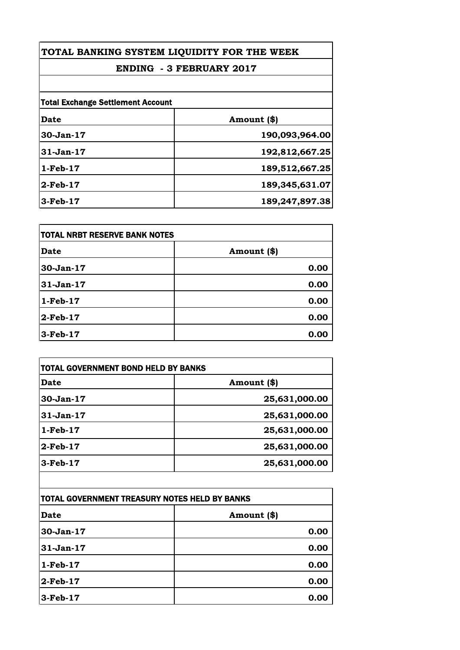# **ENDING - 3 FEBRUARY 2017**

| <b>Total Exchange Settlement Account</b> |                |
|------------------------------------------|----------------|
| <b>Date</b>                              | Amount (\$)    |
| 30-Jan-17                                | 190,093,964.00 |
| $31-Jan-17$                              | 192,812,667.25 |
| $1-Feb-17$                               | 189,512,667.25 |
| $2$ -Feb-17                              | 189,345,631.07 |
| 3-Feb-17                                 | 189,247,897.38 |

| <b>TOTAL NRBT RESERVE BANK NOTES</b> |             |
|--------------------------------------|-------------|
| <b>Date</b>                          | Amount (\$) |
| 30-Jan-17                            | 0.00        |
| 31-Jan-17                            | 0.00        |
| $1-Feb-17$                           | 0.00        |
| $2$ -Feb-17                          | 0.00        |
| 3-Feb-17                             | 0.00        |

| Date        | Amount (\$)   |
|-------------|---------------|
| $30-Jan-17$ | 25,631,000.00 |
| 31-Jan-17   | 25,631,000.00 |
| $1-Feb-17$  | 25,631,000.00 |
| $2$ -Feb-17 | 25,631,000.00 |
| 3-Feb-17    | 25,631,000.00 |

| TOTAL GOVERNMENT TREASURY NOTES HELD BY BANKS |             |
|-----------------------------------------------|-------------|
| Date                                          | Amount (\$) |
| 30-Jan-17                                     | 0.00        |
| $31-Jan-17$                                   | 0.00        |
| $1-Feb-17$                                    | 0.00        |
| $2$ -Feb-17                                   | 0.00        |
| $3-Feb-17$                                    | 0.00        |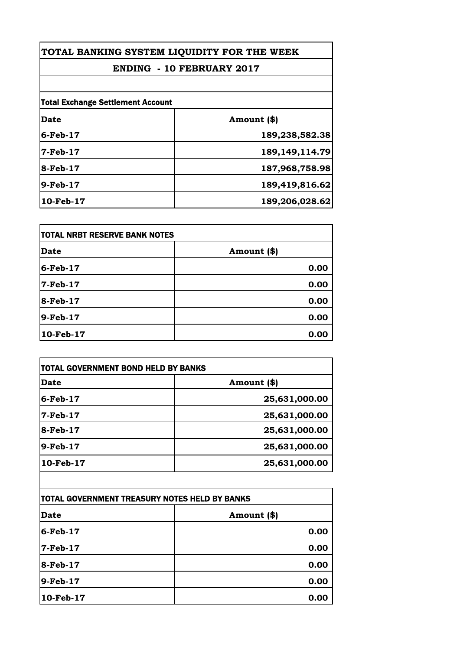# **ENDING - 10 FEBRUARY 2017**

| <b>Total Exchange Settlement Account</b> |                   |
|------------------------------------------|-------------------|
| <b>Date</b>                              | Amount (\$)       |
| $6$ -Feb- $17$                           | 189,238,582.38    |
| $7-Feb-17$                               | 189, 149, 114. 79 |
| 8-Feb-17                                 | 187,968,758.98    |
| 9-Feb-17                                 | 189,419,816.62    |
| $10$ -Feb- $17$                          | 189,206,028.62    |

| TOTAL NRBT RESERVE BANK NOTES |             |
|-------------------------------|-------------|
| Date                          | Amount (\$) |
| 6-Feb-17                      | 0.00        |
| <b>7-Feb-17</b>               | 0.00        |
| 8-Feb-17                      | 0.00        |
| $9$ -Feb-17                   | 0.00        |
| 10-Feb-17                     | 0.00        |

| Date                                          | Amount (\$)                   |
|-----------------------------------------------|-------------------------------|
| $6$ -Feb- $17$                                | 25,631,000.00                 |
| $7-Feb-17$                                    | 25,631,000.00                 |
| 8-Feb-17                                      | 25,631,000.00                 |
| $9-Feb-17$                                    | 25,631,000.00                 |
| 10-Feb-17                                     | 25,631,000.00                 |
|                                               |                               |
| TOTAL GOVERNMENT TREASURY NOTES HELD BY BANKS |                               |
| $\sim$ $\sim$                                 | $\mathbf{A}$ and $\mathbf{A}$ |

| TOTAL GOVERNMENT TREASURY NOTES HELD BY BANKS |             |
|-----------------------------------------------|-------------|
| Date                                          | Amount (\$) |
| $6$ -Feb-17                                   | 0.00        |
| 7-Feb-17                                      | 0.00        |
| 8-Feb-17                                      | 0.00        |
| $9$ -Feb-17                                   | 0.00        |
| 10-Feb-17                                     | 0.00        |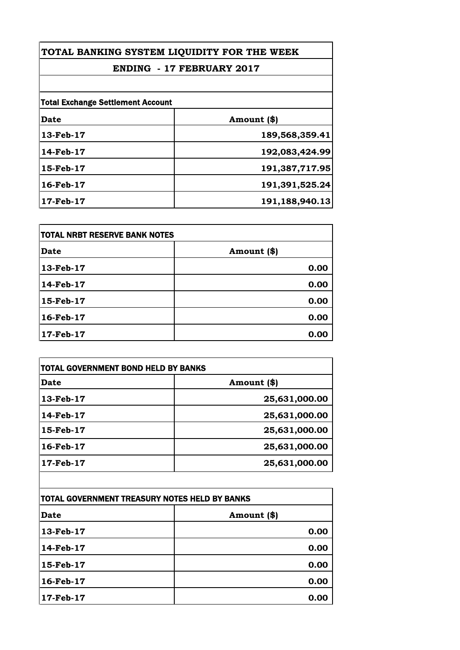# **ENDING - 17 FEBRUARY 2017**

| <b>Total Exchange Settlement Account</b> |                |
|------------------------------------------|----------------|
| <b>Date</b>                              | Amount (\$)    |
| 13-Feb-17                                | 189,568,359.41 |
| 14-Feb-17                                | 192,083,424.99 |
| 15-Feb-17                                | 191,387,717.95 |
| 16-Feb-17                                | 191,391,525.24 |
| 17-Feb-17                                | 191,188,940.13 |

| TOTAL NRBT RESERVE BANK NOTES |             |
|-------------------------------|-------------|
| Date                          | Amount (\$) |
| 13-Feb-17                     | 0.00        |
| 14-Feb-17                     | 0.00        |
| 15-Feb-17                     | 0.00        |
| 16-Feb-17                     | 0.00        |
| 17-Feb-17                     | 0.00        |

| <b>Date</b> | Amount (\$)   |
|-------------|---------------|
| 13-Feb-17   | 25,631,000.00 |
| 14-Feb-17   | 25,631,000.00 |
| 15-Feb-17   | 25,631,000.00 |
| 16-Feb-17   | 25,631,000.00 |
| 17-Feb-17   | 25,631,000.00 |

| TOTAL GOVERNMENT TREASURY NOTES HELD BY BANKS |             |
|-----------------------------------------------|-------------|
| Date                                          | Amount (\$) |
| 13-Feb-17                                     | 0.00        |
| 14-Feb-17                                     | 0.00        |
| 15-Feb-17                                     | 0.00        |
| 16-Feb-17                                     | 0.00        |
| 17-Feb-17                                     | 0.00        |